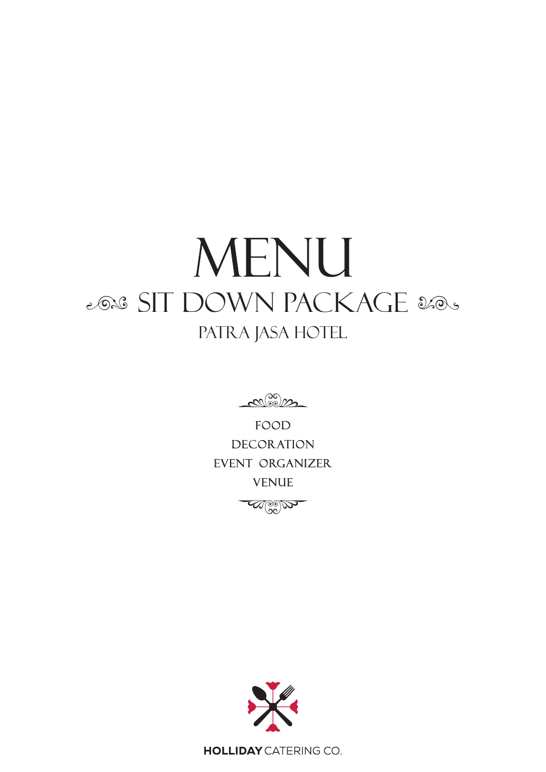## MENU 2028 SIT DOWN PACKAGE 2005 PATRA JASA HOTEL

 $\mathcal{C}^{(0)}_{\infty}$ 

**FOOD DECORATION** EVENT organizer **VENUE** 

Week



**HOLLIDAY** CATERING CO.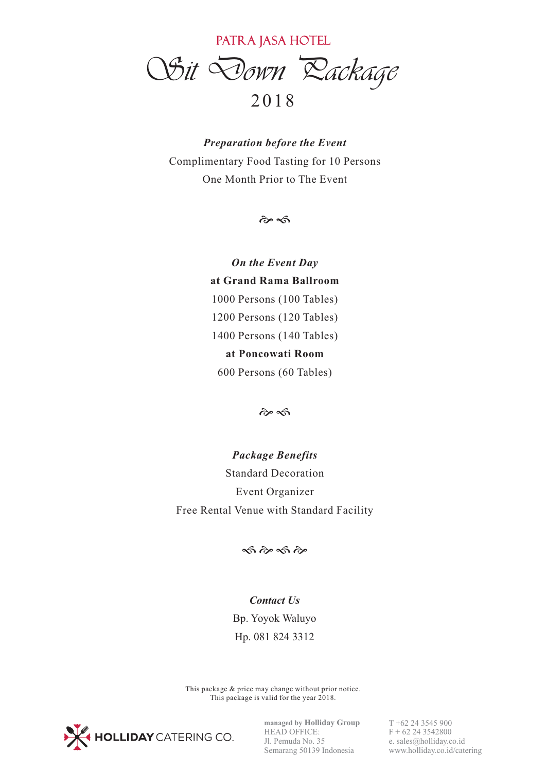PATRA JASA HOTEL

*Sit Down Package* 

## 20 1 8

*Preparation before the Event* Complimentary Food Tasting for 10 Persons One Month Prior to The Event

 $\hat{\alpha}$ 

*On the Event Day* **at Grand Rama Ballroom** 1000 Persons (100 Tables) 1200 Persons (120 Tables) 1400 Persons (140 Tables) **at Poncowati Room** 600 Persons (60 Tables)

 $\hat{\sigma}$ 

*Package Benefits* Standard Decoration Event Organizer Free Rental Venue with Standard Facility

 $\hat{\infty}$   $\hat{\infty}$   $\hat{\infty}$ 

## *Contact Us* Bp. Yoyok Waluyo Hp. 081 824 3312

This package & price may change without prior notice. This package is valid for the year 2018.



**managed by Holliday Group** HEAD OFFICE: Jl. Pemuda No. 35 Semarang 50139 Indonesia

T +62 24 3545 900  $F + 62243542800$ e. sales@holliday.co.id www.holliday.co.id/catering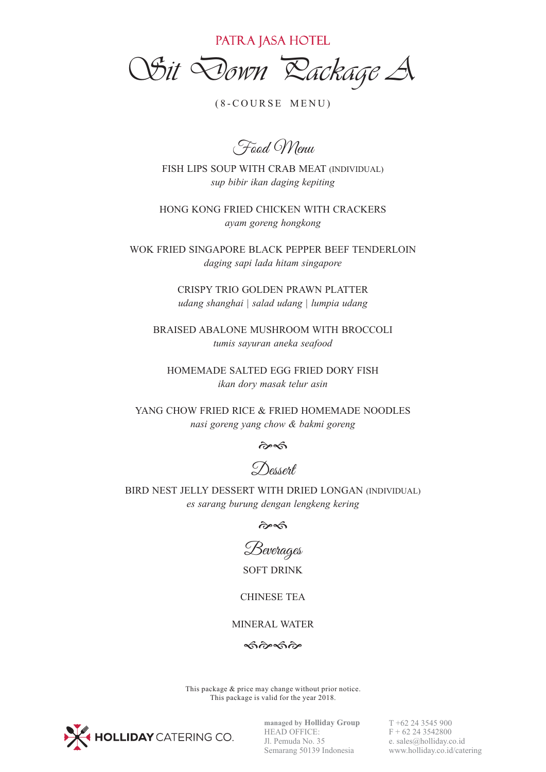PATRA JASA HOTEL

*Sit Down Package A*

 $(8-COURSE MEMU)$ 

Food Menu

FISH LIPS SOUP WITH CRAB MEAT (INDIVIDUAL) *sup bibir ikan daging kepiting*

HONG KONG FRIED CHICKEN WITH CRACKERS *ayam goreng hongkong*

WOK FRIED SINGAPORE BLACK PEPPER BEEF TENDERLOIN *daging sapi lada hitam singapore*

> CRISPY TRIO GOLDEN PRAWN PLATTER *udang shanghai | salad udang | lumpia udang*

BRAISED ABALONE MUSHROOM WITH BROCCOLI *tumis sayuran aneka seafood*

HOMEMADE SALTED EGG FRIED DORY FISH *ikan dory masak telur asin*

YANG CHOW FRIED RICE & FRIED HOMEMADE NOODLES *nasi goreng yang chow & bakmi goreng*

 $\hat{\alpha}$ 

Dessert

BIRD NEST JELLY DESSERT WITH DRIED LONGAN (INDIVIDUAL) *es sarang burung dengan lengkeng kering*

 $\hat{\alpha}$ 



SOFT DRINK

CHINESE TEA

MINERAL WATER

 $\hat{\infty}$   $\hat{\infty}$ 

This package & price may change without prior notice. This package is valid for the year 2018.



**managed by Holliday Group** HEAD OFFICE: Jl. Pemuda No. 35 Semarang 50139 Indonesia

T +62 24 3545 900  $F + 62243542800$ e. sales@holliday.co.id www.holliday.co.id/catering